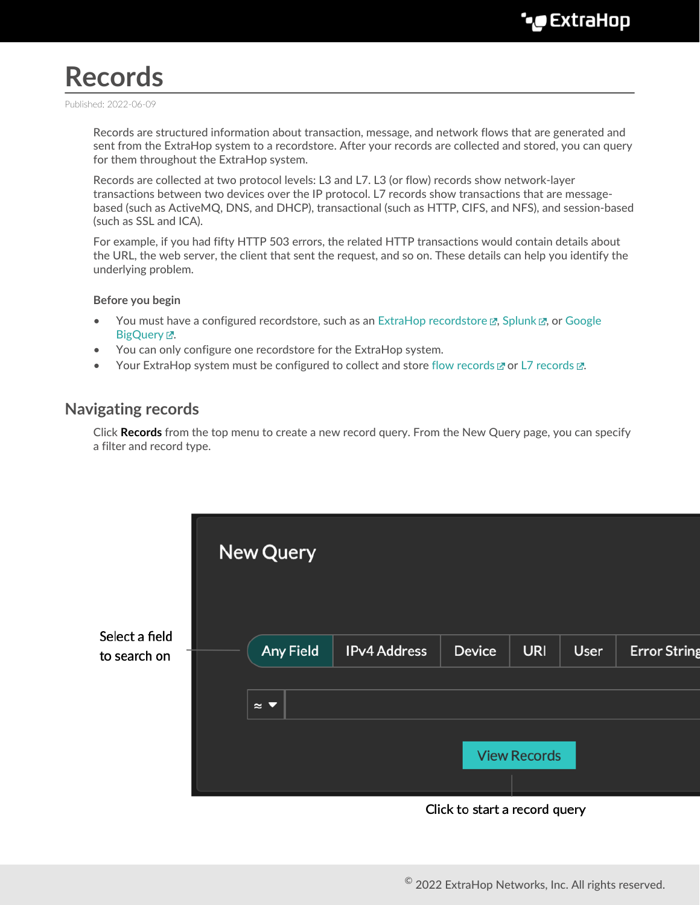# **Records**

Published: 2022-06-09

Records are structured information about transaction, message, and network flows that are generated and sent from the ExtraHop system to a recordstore. After your records are collected and stored, you can query for them throughout the ExtraHop system.

Records are collected at two protocol levels: L3 and L7. L3 (or flow) records show network-layer transactions between two devices over the IP protocol. L7 records show transactions that are messagebased (such as ActiveMQ, DNS, and DHCP), transactional (such as HTTP, CIFS, and NFS), and session-based (such as SSL and ICA).

For example, if you had fifty HTTP 503 errors, the related HTTP transactions would contain details about the URL, the web server, the client that sent the request, and so on. These details can help you identify the underlying problem.

#### **Before you begin**

- You must have a configured recordstore, such as an ExtraHop recordstore  $\mathbb{Z}$ , Splunk  $\mathbb{Z}$ , or [Google](https://docs.extrahop.com/8.9/colrecords-bigquery) BigQuery E.
- You can only configure one recordstore for the ExtraHop system.
- Your ExtraHop system must be configured to collect and store [flow records](https://docs.extrahop.com/8.9/collect-flow-records)  $\mathbb Z$  or L7 records  $\mathbb Z$ .

### **Navigating records**

Click **Records** from the top menu to create a new record query. From the New Query page, you can specify a filter and record type.

|                                | New Query                      |                     |                               |                     |      |                     |
|--------------------------------|--------------------------------|---------------------|-------------------------------|---------------------|------|---------------------|
| Select a field<br>to search on | <b>Any Field</b>               | <b>IPv4 Address</b> | <b>Device</b>                 | <b>URI</b>          | User | <b>Error String</b> |
|                                | $\approx$ $\blacktriangledown$ |                     |                               |                     |      |                     |
|                                |                                |                     |                               | <b>View Records</b> |      |                     |
|                                |                                |                     | Click to start a record query |                     |      |                     |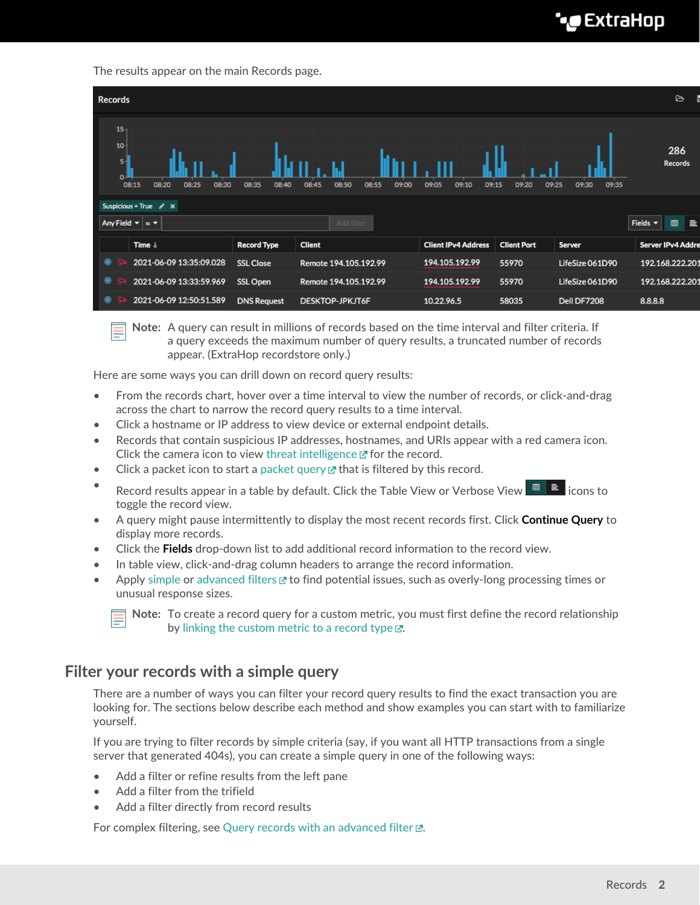# **∙e** ExtraHop

The results appear on the main Records page.



**Note:** A query can result in millions of records based on the time interval and filter criteria. If a query exceeds the maximum number of query results, a truncated number of records appear. (ExtraHop recordstore only.)

Here are some ways you can drill down on record query results:

- From the records chart, hover over a time interval to view the number of records, or click-and-drag across the chart to narrow the record query results to a time interval.
- Click a hostname or IP address to view device or external endpoint details.
- Records that contain suspicious IP addresses, hostnames, and URIs appear with a red camera icon. Click the camera icon to view [threat intelligence](https://docs.extrahop.com/8.9/threat-intelligence)  $\mathbb Z$  for the record.
- Click a packet icon to start a [packet query](https://docs.extrahop.com/8.9/packets/#query-for-packets)  $\mathbb Z$  that is filtered by this record.
- Record results appear in a table by default. Click the Table View or Verbose View  $\Box$  icons to toggle the record view.
- A query might pause intermittently to display the most recent records first. Click **Continue Query** to display more records.
- Click the **Fields** drop-down list to add additional record information to the record view.
- In table view, click-and-drag column headers to arrange the record information.
- Apply [simple](#page-1-0) or [advanced filters](https://docs.extrahop.com/8.9/query-stored-records)  $\mathbb Z$  to find potential issues, such as overly-long processing times or unusual response sizes.

**Note:** To create a record query for a custom metric, you must first define the record relationship by [linking the custom metric to a record type](https://docs.extrahop.com/8.9/custom-metric-records)  $\mathbb{Z}$ .

### <span id="page-1-0"></span>**Filter your records with a simple query**

There are a number of ways you can filter your record query results to find the exact transaction you are looking for. The sections below describe each method and show examples you can start with to familiarize yourself.

If you are trying to filter records by simple criteria (say, if you want all HTTP transactions from a single server that generated 404s), you can create a simple query in one of the following ways:

- Add a filter or refine results from the left pane
- Add a filter from the trifield
- Add a filter directly from record results

For complex filtering, see Query records with an advanced filter  $\mathbb{E}$ .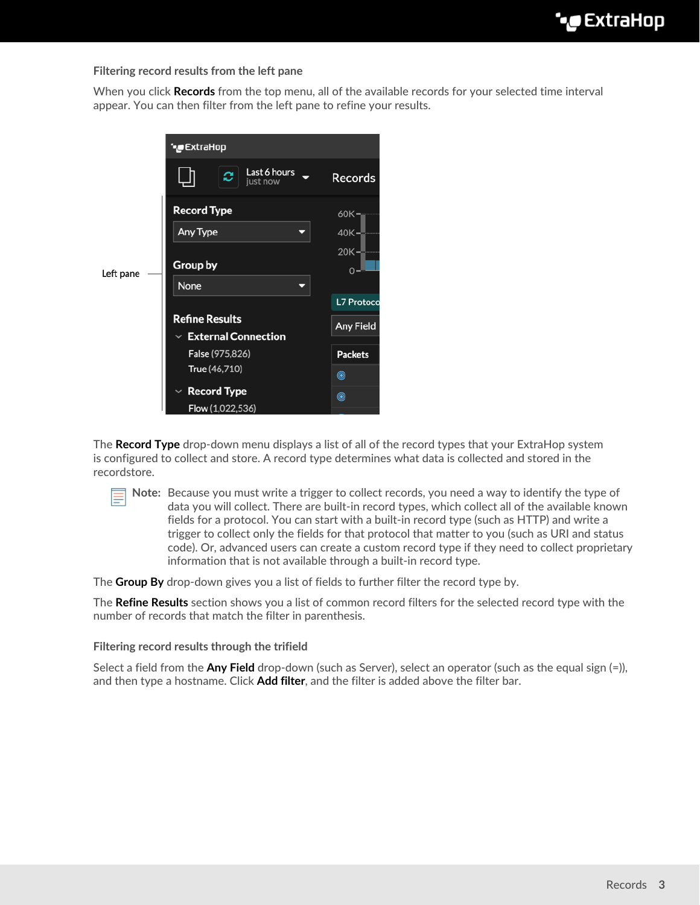#### **Filtering record results from the left pane**

When you click **Records** from the top menu, all of the available records for your selected time interval appear. You can then filter from the left pane to refine your results.

|           | °€xtraHop                                                                                                                         |                                                     |  |
|-----------|-----------------------------------------------------------------------------------------------------------------------------------|-----------------------------------------------------|--|
| Left pane | Last 6 hours<br>e<br>just now                                                                                                     | <b>Records</b>                                      |  |
|           | <b>Record Type</b><br>Any Type<br>Group by<br>None                                                                                | $60K -$<br>$40K -$<br>$20K -$<br>$0 -$              |  |
|           | <b>Refine Results</b><br>$\vee$ External Connection<br>False (975,826)<br>True (46,710)<br><b>Record Type</b><br>Flow (1,022,536) | L7 Protoco<br>Any Field<br><b>Packets</b><br>◉<br>◉ |  |

The **Record Type** drop-down menu displays a list of all of the record types that your ExtraHop system is configured to collect and store. A record type determines what data is collected and stored in the recordstore.

**Note:** Because you must write a trigger to collect records, you need a way to identify the type of data you will collect. There are built-in record types, which collect all of the available known fields for a protocol. You can start with a built-in record type (such as HTTP) and write a trigger to collect only the fields for that protocol that matter to you (such as URI and status code). Or, advanced users can create a custom record type if they need to collect proprietary information that is not available through a built-in record type.

The **Group By** drop-down gives you a list of fields to further filter the record type by.

The **Refine Results** section shows you a list of common record filters for the selected record type with the number of records that match the filter in parenthesis.

#### **Filtering record results through the trifield**

Select a field from the **Any Field** drop-down (such as Server), select an operator (such as the equal sign (=)), and then type a hostname. Click **Add filter**, and the filter is added above the filter bar.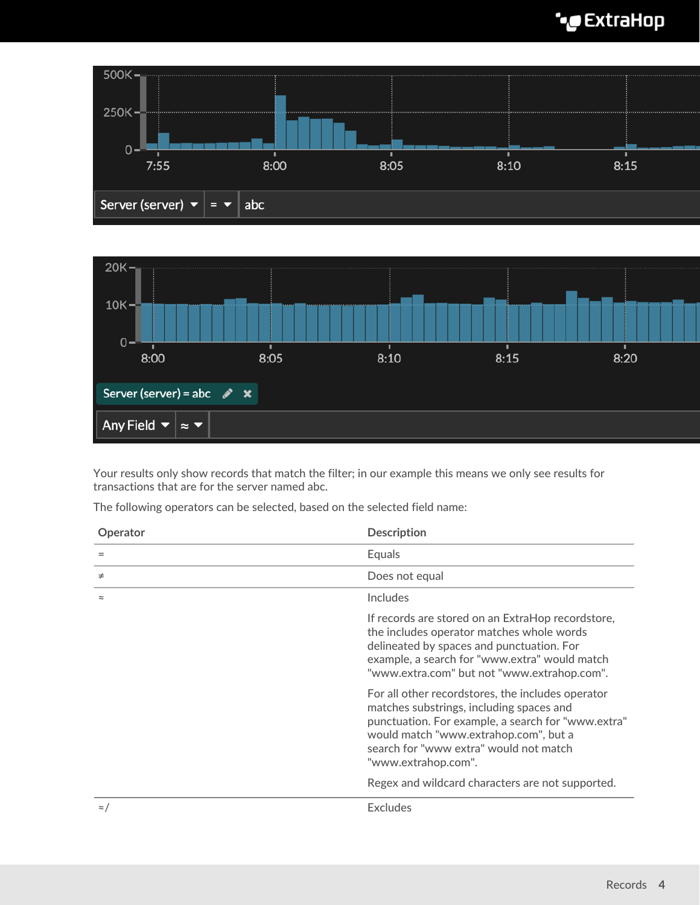# ExtraHop **@-**





Your results only show records that match the filter; in our example this means we only see results for transactions that are for the server named abc.

The following operators can be selected, based on the selected field name:

| Operator    | <b>Description</b>                                                                                                                                                                                                                                            |  |  |
|-------------|---------------------------------------------------------------------------------------------------------------------------------------------------------------------------------------------------------------------------------------------------------------|--|--|
| $=$         | Equals                                                                                                                                                                                                                                                        |  |  |
| $\neq$      | Does not equal                                                                                                                                                                                                                                                |  |  |
| $\approx$   | <b>Includes</b>                                                                                                                                                                                                                                               |  |  |
|             | If records are stored on an ExtraHop recordstore,<br>the includes operator matches whole words<br>delineated by spaces and punctuation. For<br>example, a search for "www.extra" would match<br>"www.extra.com" but not "www.extrahop.com".                   |  |  |
|             | For all other recordstores, the includes operator<br>matches substrings, including spaces and<br>punctuation. For example, a search for "www.extra"<br>would match "www.extrahop.com", but a<br>search for "www extra" would not match<br>"www.extrahop.com". |  |  |
|             | Regex and wildcard characters are not supported.                                                                                                                                                                                                              |  |  |
| $\approx$ / | <b>Excludes</b>                                                                                                                                                                                                                                               |  |  |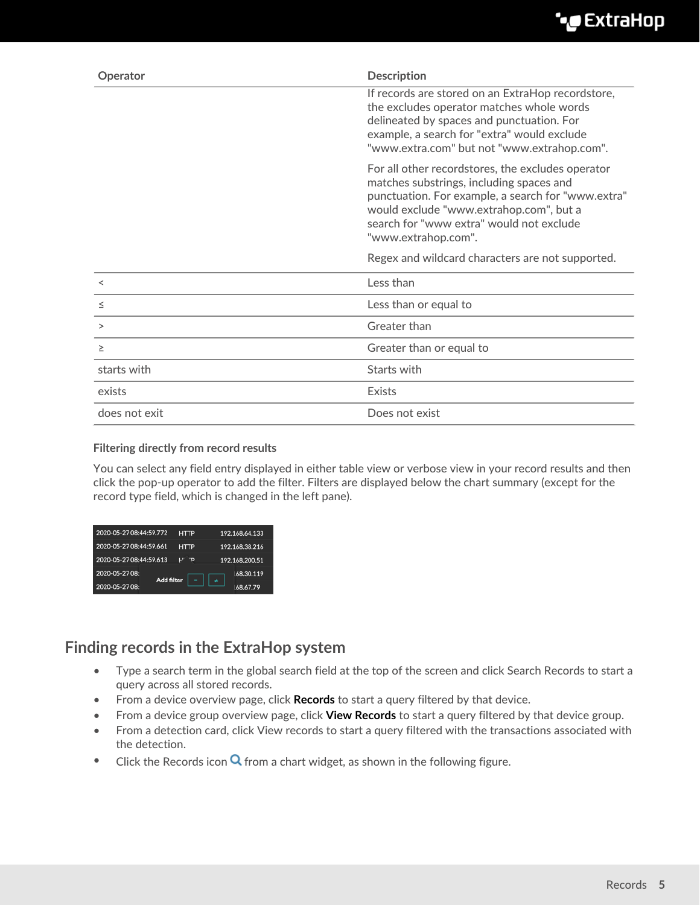| Operator      | <b>Description</b>                                                                                                                                                                                                                                                |
|---------------|-------------------------------------------------------------------------------------------------------------------------------------------------------------------------------------------------------------------------------------------------------------------|
|               | If records are stored on an ExtraHop recordstore,<br>the excludes operator matches whole words<br>delineated by spaces and punctuation. For<br>example, a search for "extra" would exclude<br>"www.extra.com" but not "www.extrahop.com".                         |
|               | For all other recordstores, the excludes operator<br>matches substrings, including spaces and<br>punctuation. For example, a search for "www.extra"<br>would exclude "www.extrahop.com", but a<br>search for "www extra" would not exclude<br>"www.extrahop.com". |
|               | Regex and wildcard characters are not supported.                                                                                                                                                                                                                  |
| $\,<\,$       | Less than                                                                                                                                                                                                                                                         |
| $\leq$        | Less than or equal to                                                                                                                                                                                                                                             |
| >             | Greater than                                                                                                                                                                                                                                                      |
| $\geq$        | Greater than or equal to                                                                                                                                                                                                                                          |
| starts with   | Starts with                                                                                                                                                                                                                                                       |
| exists        | Exists                                                                                                                                                                                                                                                            |
| does not exit | Does not exist                                                                                                                                                                                                                                                    |

#### **Filtering directly from record results**

You can select any field entry displayed in either table view or verbose view in your record results and then click the pop-up operator to add the filter. Filters are displayed below the chart summary (except for the record type field, which is changed in the left pane).

| 2020-05-27 08:44:59.772 | <b>HTTP</b>                   | 192.168.64.133 |  |
|-------------------------|-------------------------------|----------------|--|
| 2020-05-27 08:44:59.661 | <b>HTTP</b>                   | 192.168.38.216 |  |
| 2020-05-27 08:44:59.613 | ס־                            | 192.168.200.51 |  |
| 2020-05-27 08:          | 168.30.119                    |                |  |
| 2020-05-27 08:          | <b>Add filter</b><br>68.67.79 |                |  |

## **Finding records in the ExtraHop system**

- Type a search term in the global search field at the top of the screen and click Search Records to start a query across all stored records.
- From a device overview page, click **Records** to start a query filtered by that device.
- From a device group overview page, click **View Records** to start a query filtered by that device group.
- From a detection card, click View records to start a query filtered with the transactions associated with the detection.
- Click the Records icon  $\mathbf Q$  from a chart widget, as shown in the following figure.